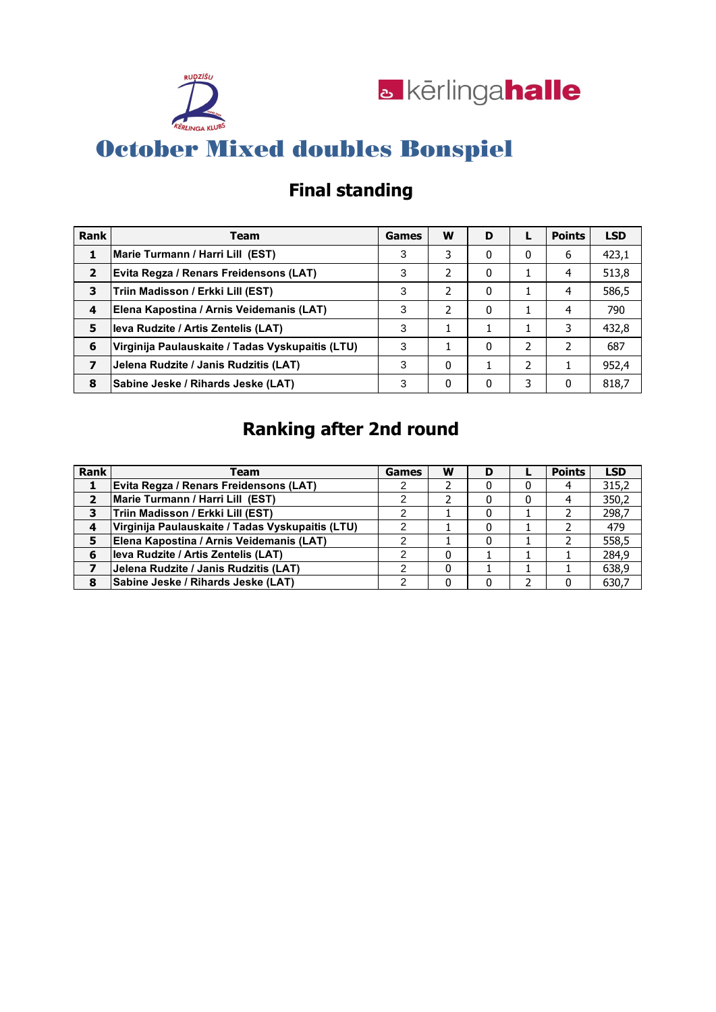



### **Final standing**

| Rank           | Team                                             | Games | W | D |   | <b>Points</b> | <b>LSD</b> |
|----------------|--------------------------------------------------|-------|---|---|---|---------------|------------|
|                | Marie Turmann / Harri Lill (EST)                 | 3     | 3 | 0 | 0 | 6             | 423,1      |
| $\overline{2}$ | Evita Regza / Renars Freidensons (LAT)           | 3     | 2 | 0 |   | 4             | 513,8      |
| 3              | Triin Madisson / Erkki Lill (EST)                | 3     | 2 | 0 |   | 4             | 586,5      |
| 4              | Elena Kapostina / Arnis Veidemanis (LAT)         | 3     |   | 0 |   | 4             | 790        |
| 5              | leva Rudzite / Artis Zentelis (LAT)              | 3     |   |   |   | 3             | 432,8      |
| 6              | Virginija Paulauskaite / Tadas Vyskupaitis (LTU) | 3     |   | 0 | 2 |               | 687        |
| 7              | Jelena Rudzite / Janis Rudzitis (LAT)            | 3     | 0 |   | 2 |               | 952,4      |
| 8              | Sabine Jeske / Rihards Jeske (LAT)               | 3     | 0 | 0 | 3 | 0             | 818,7      |

### **Ranking after 2nd round**

| Rank | Team                                             | <b>Games</b> | w | D |   | <b>Points</b> | <b>LSD</b> |
|------|--------------------------------------------------|--------------|---|---|---|---------------|------------|
|      | <b>Evita Regza / Renars Freidensons (LAT)</b>    |              |   |   | 0 |               | 315,2      |
| 2    | Marie Turmann / Harri Lill (EST)                 |              |   |   | 0 |               | 350,2      |
| 3    | Triin Madisson / Erkki Lill (EST)                |              |   |   |   |               | 298,7      |
| 4    | Virginija Paulauskaite / Tadas Vyskupaitis (LTU) |              |   |   |   |               | 479        |
| 5    | Elena Kapostina / Arnis Veidemanis (LAT)         |              |   |   |   |               | 558,5      |
| 6    | leva Rudzite / Artis Zentelis (LAT)              |              |   |   |   |               | 284,9      |
|      | Jelena Rudzite / Janis Rudzitis (LAT)            |              | 0 |   |   |               | 638,9      |
| 8    | Sabine Jeske / Rihards Jeske (LAT)               |              |   |   |   |               | 630,7      |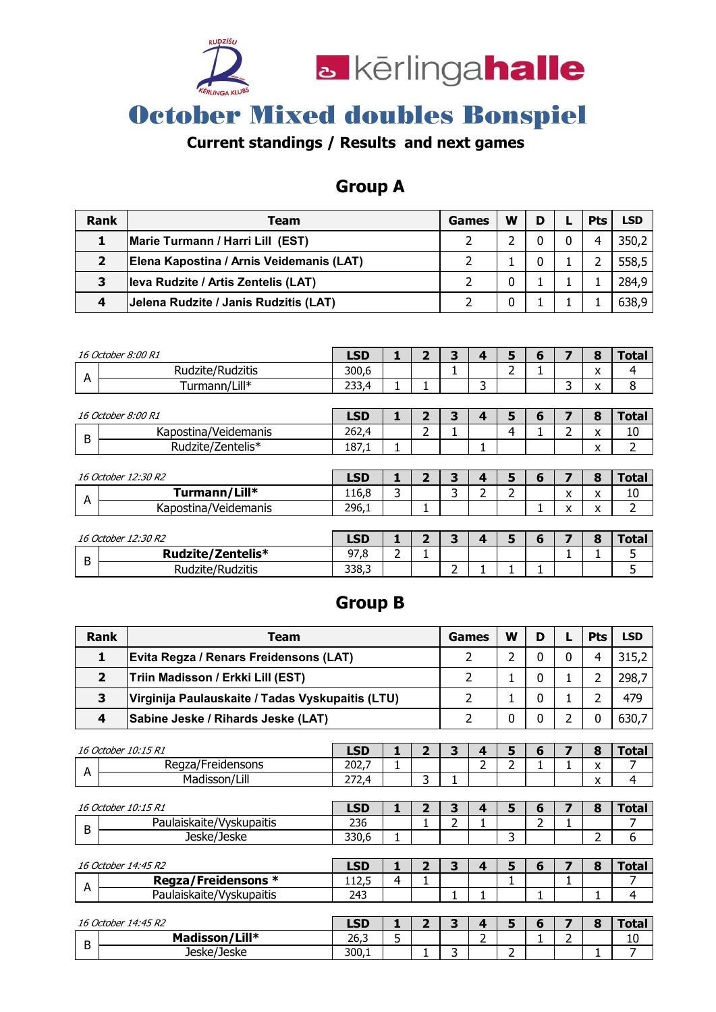

### **Current standings / Results and next games**

### **Group A**

| Rank                    | Team                                     | Games | W | D | <b>Pts</b> | <b>LSD</b> |
|-------------------------|------------------------------------------|-------|---|---|------------|------------|
|                         | Marie Turmann / Harri Lill (EST)         |       |   |   | 4          | 350,2      |
| $\overline{\mathbf{2}}$ | Elena Kapostina / Arnis Veidemanis (LAT) |       |   | 0 |            | 558,5      |
| 3                       | leva Rudzite / Artis Zentelis (LAT)      |       | 0 |   |            | 284.9      |
| 4                       | Jelena Rudzite / Janis Rudzitis (LAT)    |       | 0 |   |            | 638,9      |

|   | 16 October 8:00 R1         | <b>LSD</b> | 1 | 2 | 3 | 4 | 5 | 6 | 7 | 8 | <b>Total</b>   |
|---|----------------------------|------------|---|---|---|---|---|---|---|---|----------------|
| A | Rudzite/Rudzitis           | 300.6      |   |   |   |   | 2 |   |   | x | 4              |
|   | Turmann/Lill*              | 233,4      |   |   |   | 3 |   |   | 3 | x | 8              |
|   |                            |            |   |   |   |   |   |   |   |   |                |
|   | <i>16 October 8:00 R1</i>  | <b>LSD</b> | 1 | 2 | 3 | 4 | 5 | 6 | 7 | 8 | <b>Total</b>   |
| B | Kapostina/Veidemanis       | 262,4      |   | 2 |   |   | 4 |   | 2 | x | 10             |
|   | Rudzite/Zentelis*          | 187,1      | 1 |   |   | 1 |   |   |   | x | $\overline{2}$ |
|   |                            |            |   |   |   |   |   |   |   |   |                |
|   | <i>16 October 12:30 R2</i> | <b>LSD</b> | 1 | 2 | 3 | 4 | 5 | 6 | 7 | 8 | <b>Total</b>   |
| A | Turmann/Lill*              | 116,8      | 3 |   | 3 | 2 | 2 |   | X | x | 10             |
|   | Kapostina/Veidemanis       | 296,1      |   |   |   |   |   |   | x | x | 2              |
|   |                            |            |   |   |   |   |   |   |   |   |                |
|   | <i>16 October 12:30 R2</i> | <b>LSD</b> | 1 | 2 | 3 | 4 | 5 | 6 | 7 | 8 | <b>Total</b>   |
| B | Rudzite/Zentelis*          | 97,8       | 2 |   |   |   |   |   | я |   | 5              |
|   | Rudzite/Rudzitis           | 338,3      |   |   | 2 |   |   |   |   |   | 5              |

#### **Group B**

|                                                               | Rank<br><b>Team</b>                                   |            |              |                |                | Games          | w              | D        | L            | <b>Pts</b> | <b>LSD</b>     |
|---------------------------------------------------------------|-------------------------------------------------------|------------|--------------|----------------|----------------|----------------|----------------|----------|--------------|------------|----------------|
|                                                               | 1<br>Evita Regza / Renars Freidensons (LAT)           |            |              |                |                | $\mathcal{P}$  | $\mathcal{P}$  | $\Omega$ | $\Omega$     | 4          | 315,2          |
|                                                               | $\overline{2}$<br>Triin Madisson / Erkki Lill (EST)   |            |              |                |                | 2              | 1              | $\Omega$ | 1            | 2          | 298,7          |
|                                                               | 3<br>Virginija Paulauskaite / Tadas Vyskupaitis (LTU) |            |              |                | 2<br>1         |                |                | $\Omega$ | 1            | 2          | 479            |
| $\overline{\mathbf{4}}$<br>Sabine Jeske / Rihards Jeske (LAT) |                                                       |            |              |                |                | $\overline{2}$ | 0              | 0        | 2            | 0          | 630,7          |
|                                                               |                                                       |            |              |                |                |                |                |          |              |            |                |
|                                                               | 16 October 10:15 R1                                   | <b>LSD</b> | $\mathbf{1}$ | $\overline{2}$ | 3              | 4              | 5              | 6        | 7            | 8          | <b>Total</b>   |
| A                                                             | Regza/Freidensons                                     | 202,7      | 1            |                |                | $\overline{2}$ | $\overline{2}$ |          | 1            | X          |                |
|                                                               | Madisson/Lill                                         | 272,4      |              | 3              |                |                |                |          |              | X          | $\overline{4}$ |
|                                                               |                                                       |            |              |                |                |                |                |          |              |            |                |
|                                                               | 16 October 10:15 R1                                   | <b>LSD</b> | 1            | $\overline{2}$ | 3              | 4              | 5              | 6        | 7            | 8          | <b>Total</b>   |
| B                                                             | Paulaiskaite/Vyskupaitis                              | 236        |              | $\mathbf{1}$   | $\overline{2}$ | 1              |                | 2        | 1            |            | 7              |
|                                                               | Jeske/Jeske                                           | 330,6      | 1            |                |                |                | 3              |          |              | 2          | 6              |
|                                                               |                                                       |            |              |                |                |                |                |          |              |            |                |
|                                                               | 16 October 14:45 R2                                   | <b>LSD</b> | 1            | $\overline{2}$ | 3              | 4              | 5              | 6        | 7            | 8          | <b>Total</b>   |
| A                                                             | <b>Regza/Freidensons *</b>                            | 112,5      | 4            |                |                |                | $\mathbf{1}$   |          | $\mathbf{1}$ |            |                |
|                                                               | Paulaiskaite/Vyskupaitis                              | 243        |              |                |                | 1              |                |          |              | 1          | 4              |
|                                                               |                                                       |            |              |                |                |                |                |          |              |            |                |
|                                                               | 16 October 14:45 R2                                   | <b>LSD</b> | 1            | $\overline{2}$ | 3              | 4              | 5              | 6        | 7            | 8          | <b>Total</b>   |
| B                                                             | Madisson/Lill*                                        | 26,3       | 5            |                |                | 2              |                | 1        | 2            |            | 10             |
|                                                               | Jeske/Jeske                                           | 300,1      |              |                | 3              |                | $\overline{2}$ |          |              | 1          | 7              |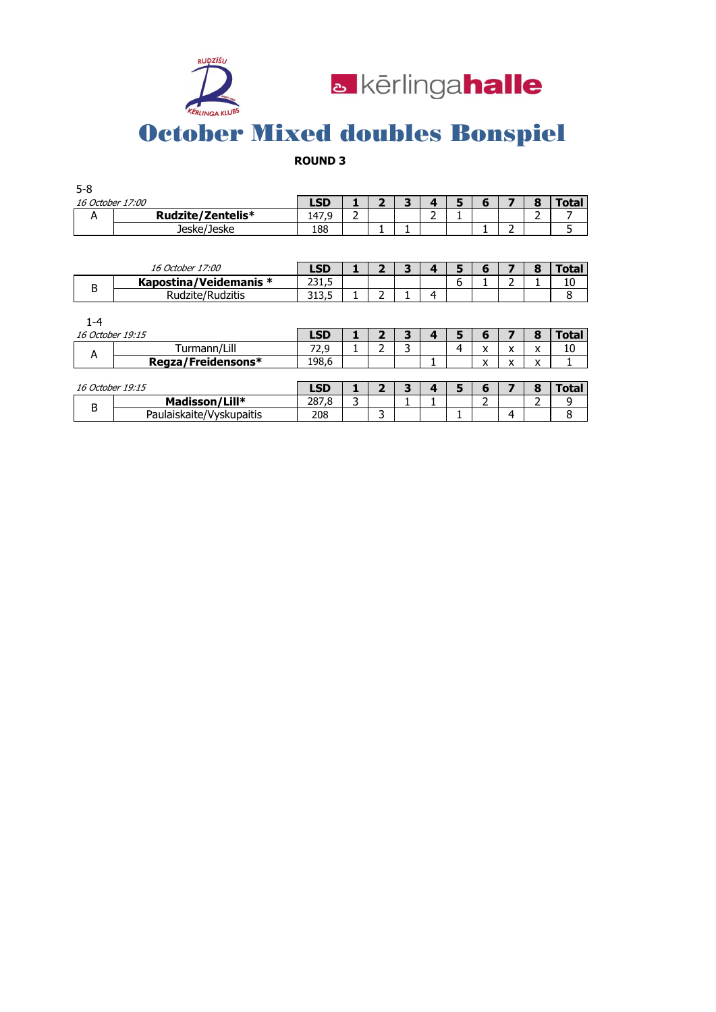



#### **ROUND 3**

| $5 - 8$                 |                   |       |        |  |   |   |  |  |
|-------------------------|-------------------|-------|--------|--|---|---|--|--|
| <i>16 October 17:00</i> |                   | LSD   |        |  |   | n |  |  |
| n                       | Rudzite/Zentelis* | 147,9 | ∽<br>- |  | - |   |  |  |
|                         | Jeske/Jeske       | 188   |        |  |   |   |  |  |

|     | <i>16 October 17:00</i> | <b>_SD</b>      |  |   |   |   |  | 'ota |
|-----|-------------------------|-----------------|--|---|---|---|--|------|
|     | Kapostina/Veidemanis *  | ر. 1 رے         |  |   |   | ື |  | 10   |
| . . | Rudzite/Rudzitis        | າ 1 າ<br>ر.ر ړر |  | - | Δ |   |  |      |

| 1-4              |                          |                  |  |   |   |   |        |        |   |       |
|------------------|--------------------------|------------------|--|---|---|---|--------|--------|---|-------|
| 16 October 19:15 |                          | LSD <sub>0</sub> |  | з |   | 5 | b      |        |   | Total |
|                  | Turmann/Lill             | 72.9             |  |   |   | 4 | x      | v<br>⋏ | х | 10    |
| А                | Regza/Freidensons*       | 198,6            |  |   |   |   | v<br>^ | v<br>⋏ | x |       |
|                  |                          |                  |  |   |   |   |        |        |   |       |
| 16 October 19:15 |                          | LSD              |  | З | ◢ | 5 | 6      |        |   | Total |
| B                | Madisson/Lill*           | 287.8            |  |   |   |   |        |        |   | 9     |
|                  | Paulaiskaite/Vyskupaitis | 208              |  |   |   |   |        | Δ      |   |       |